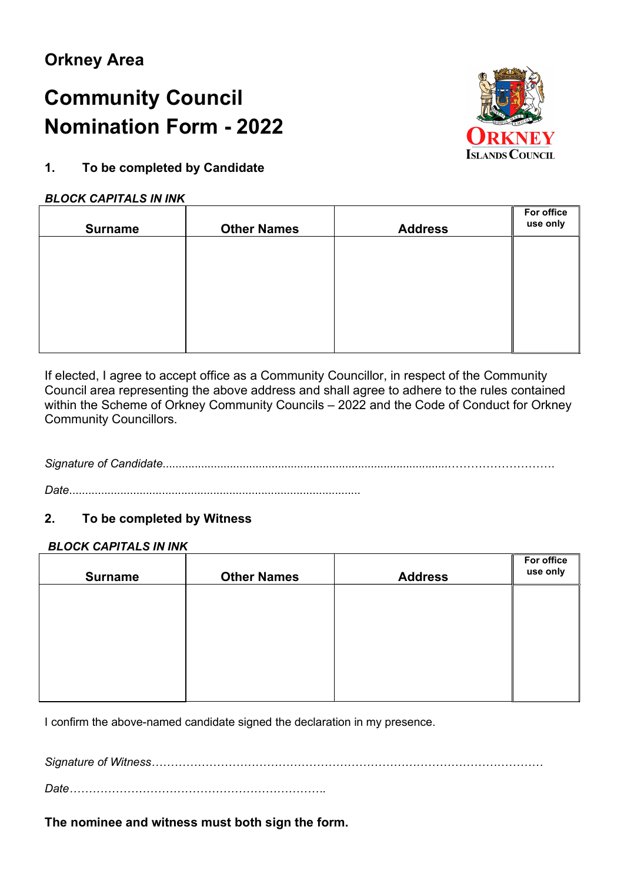# C**ommunity** C**ouncil** N**omination** F**orm** - 2022



## 1. To be completed by Candidate

#### BLOCK CAPITALS IN INK

| <b>Surname</b> | <b>Other Names</b> | <b>Address</b> | For office<br>use only |
|----------------|--------------------|----------------|------------------------|
|                |                    |                |                        |
|                |                    |                |                        |
|                |                    |                |                        |
|                |                    |                |                        |

 If elected, I agree to accept office as a Community Councillor, in respect of the Community Council area representing the above address and shall agree to adhere to the rules contained within the Scheme of Orkney Community Councils – 2022 and the Code of Conduct for Orkney Community Councillors.

## Signature of Candidate.........................................................................................……………………….

Date...........................................................................................

## 2. To be completed by Witness

#### BLOCK CAPITALS IN INK

| <b>Surname</b> | <b>Other Names</b> | <b>Address</b> | For office<br>use only |
|----------------|--------------------|----------------|------------------------|
|                |                    |                |                        |
|                |                    |                |                        |
|                |                    |                |                        |
|                |                    |                |                        |

I confirm the above-named candidate signed the declaration in my presence.

Signature of Witness…………………………………………………………………………………………

Date………………………………………………………….

The nominee and witness must both sign the form.